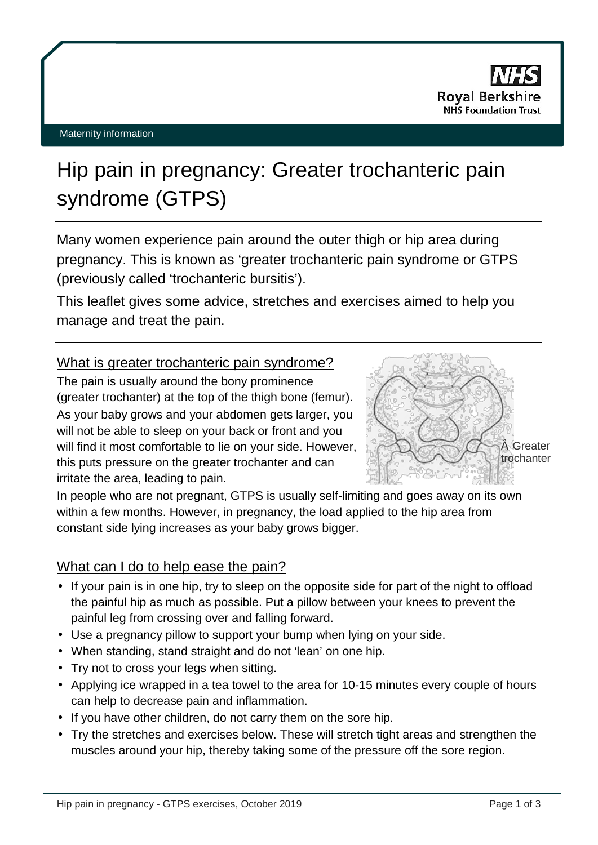

# Hip pain in pregnancy: Greater trochanteric pain syndrome (GTPS)

Many women experience pain around the outer thigh or hip area during pregnancy. This is known as 'greater trochanteric pain syndrome or GTPS (previously called 'trochanteric bursitis').

This leaflet gives some advice, stretches and exercises aimed to help you manage and treat the pain.

# What is greater trochanteric pain syndrome?

The pain is usually around the bony prominence (greater trochanter) at the top of the thigh bone (femur). As your baby grows and your abdomen gets larger, you will not be able to sleep on your back or front and you will find it most comfortable to lie on your side. However, this puts pressure on the greater trochanter and can irritate the area, leading to pain.



In people who are not pregnant, GTPS is usually self-limiting and goes away on its own within a few months. However, in pregnancy, the load applied to the hip area from constant side lying increases as your baby grows bigger.

# What can I do to help ease the pain?

- If your pain is in one hip, try to sleep on the opposite side for part of the night to offload the painful hip as much as possible. Put a pillow between your knees to prevent the painful leg from crossing over and falling forward.
- Use a pregnancy pillow to support your bump when lying on your side.
- When standing, stand straight and do not 'lean' on one hip.
- Try not to cross your legs when sitting.
- Applying ice wrapped in a tea towel to the area for 10-15 minutes every couple of hours can help to decrease pain and inflammation.
- If you have other children, do not carry them on the sore hip.
- Try the stretches and exercises below. These will stretch tight areas and strengthen the muscles around your hip, thereby taking some of the pressure off the sore region.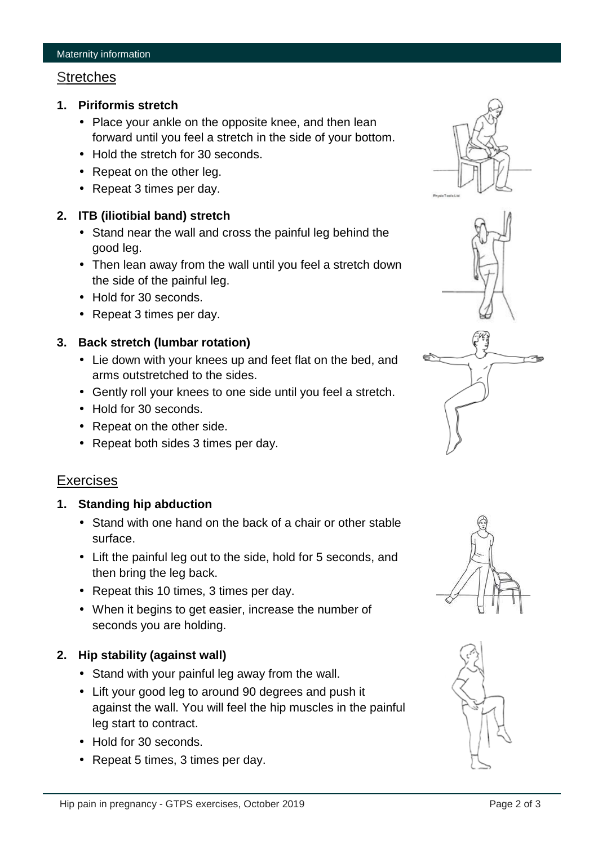#### **Stretches**

- **1. Piriformis stretch**
	- Place your ankle on the opposite knee, and then lean forward until you feel a stretch in the side of your bottom.
	- Hold the stretch for 30 seconds.
	- Repeat on the other leg.
	- Repeat 3 times per day.

#### **2. ITB (iliotibial band) stretch**

- Stand near the wall and cross the painful leg behind the good leg.
- Then lean away from the wall until you feel a stretch down the side of the painful leg.
- Hold for 30 seconds.
- Repeat 3 times per day.

#### **3. Back stretch (lumbar rotation)**

- Lie down with your knees up and feet flat on the bed, and arms outstretched to the sides.
- Gently roll your knees to one side until you feel a stretch.
- Hold for 30 seconds.
- Repeat on the other side.
- Repeat both sides 3 times per day.

#### **Exercises**

#### **1. Standing hip abduction**

- Stand with one hand on the back of a chair or other stable surface.
- Lift the painful leg out to the side, hold for 5 seconds, and then bring the leg back.
- Repeat this 10 times, 3 times per day.
- When it begins to get easier, increase the number of seconds you are holding.

#### **2. Hip stability (against wall)**

- Stand with your painful leg away from the wall.
- Lift your good leg to around 90 degrees and push it against the wall. You will feel the hip muscles in the painful leg start to contract.
- Hold for 30 seconds.
- Repeat 5 times, 3 times per day.